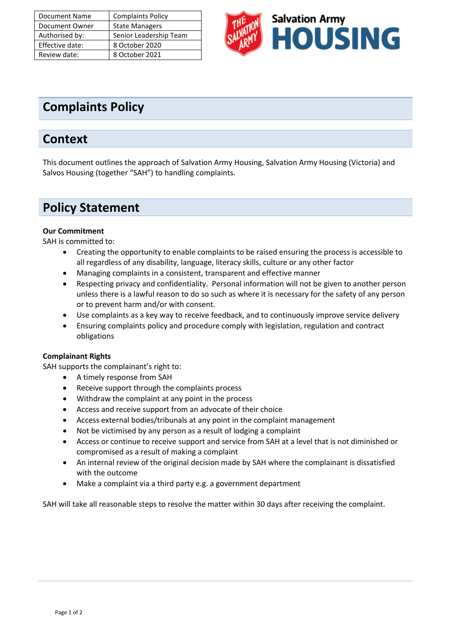| Document Name   | <b>Complaints Policy</b> |
|-----------------|--------------------------|
| Document Owner  | <b>State Managers</b>    |
| Authorised by:  | Senior Leadership Team   |
| Effective date: | 8 October 2020           |
| Review date:    | 8 October 2021           |



# **Complaints Policy**

### **Context**

This document outlines the approach of Salvation Army Housing, Salvation Army Housing (Victoria) and Salvos Housing (together "SAH") to handling complaints.

## **Policy Statement**

#### **Our Commitment**

SAH is committed to:

- Creating the opportunity to enable complaints to be raised ensuring the process is accessible to all regardless of any disability, language, literacy skills, culture or any other factor
- Managing complaints in a consistent, transparent and effective manner
- Respecting privacy and confidentiality. Personal information will not be given to another person unless there is a lawful reason to do so such as where it is necessary for the safety of any person or to prevent harm and/or with consent.
- Use complaints as a key way to receive feedback, and to continuously improve service delivery
- Ensuring complaints policy and procedure comply with legislation, regulation and contract obligations

#### **Complainant Rights**

SAH supports the complainant's right to:

- A timely response from SAH
- Receive support through the complaints process
- Withdraw the complaint at any point in the process
- Access and receive support from an advocate of their choice
- Access external bodies/tribunals at any point in the complaint management
- Not be victimised by any person as a result of lodging a complaint
- Access or continue to receive support and service from SAH at a level that is not diminished or compromised as a result of making a complaint
- An internal review of the original decision made by SAH where the complainant is dissatisfied with the outcome
- Make a complaint via a third party e.g. a government department

SAH will take all reasonable steps to resolve the matter within 30 days after receiving the complaint.